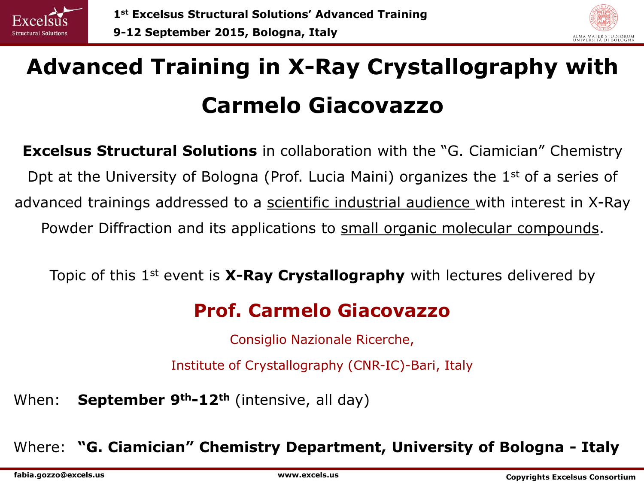



# **Advanced Training in X-Ray Crystallography with Carmelo Giacovazzo**

**Excelsus Structural Solutions** in collaboration with the "G. Ciamician" Chemistry Dpt at the University of Bologna (Prof. Lucia Maini) organizes the 1<sup>st</sup> of a series of advanced trainings addressed to a scientific industrial audience with interest in X-Ray Powder Diffraction and its applications to small organic molecular compounds.

Topic of this 1st event is **X-Ray Crystallography** with lectures delivered by

# **Prof. Carmelo Giacovazzo**

Consiglio Nazionale Ricerche,

Institute of Crystallography (CNR-IC)-Bari, Italy

When: **September 9th-12th** (intensive, all day)

Where: **"G. Ciamician" Chemistry Department, University of Bologna - Italy**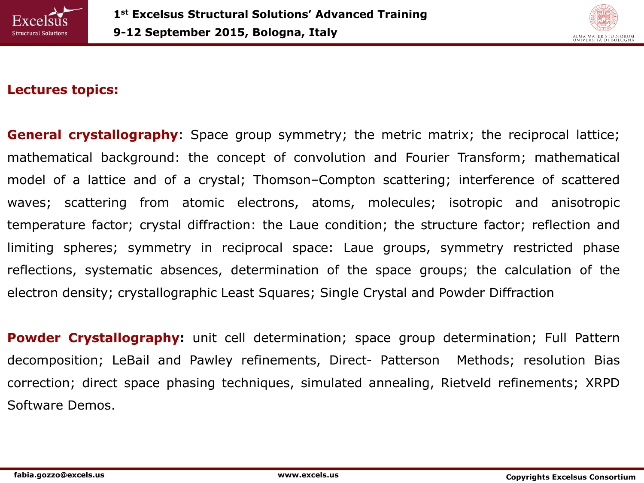



## **Lectures topics:**

**General crystallography**: Space group symmetry; the metric matrix; the reciprocal lattice; mathematical background: the concept of convolution and Fourier Transform; mathematical model of a lattice and of a crystal; Thomson–Compton scattering; interference of scattered waves; scattering from atomic electrons, atoms, molecules; isotropic and anisotropic temperature factor; crystal diffraction: the Laue condition; the structure factor; reflection and limiting spheres; symmetry in reciprocal space: Laue groups, symmetry restricted phase reflections, systematic absences, determination of the space groups; the calculation of the electron density; crystallographic Least Squares; Single Crystal and Powder Diffraction

**Powder Crystallography:** unit cell determination; space group determination; Full Pattern decomposition; LeBail and Pawley refinements, Direct- Patterson Methods; resolution Bias correction; direct space phasing techniques, simulated annealing, Rietveld refinements; XRPD Software Demos.